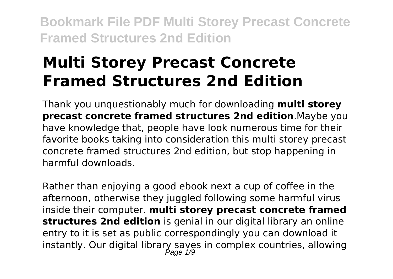# **Multi Storey Precast Concrete Framed Structures 2nd Edition**

Thank you unquestionably much for downloading **multi storey precast concrete framed structures 2nd edition**.Maybe you have knowledge that, people have look numerous time for their favorite books taking into consideration this multi storey precast concrete framed structures 2nd edition, but stop happening in harmful downloads.

Rather than enjoying a good ebook next a cup of coffee in the afternoon, otherwise they juggled following some harmful virus inside their computer. **multi storey precast concrete framed structures 2nd edition** is genial in our digital library an online entry to it is set as public correspondingly you can download it instantly. Our digital library saves in complex countries, allowing Page 1/9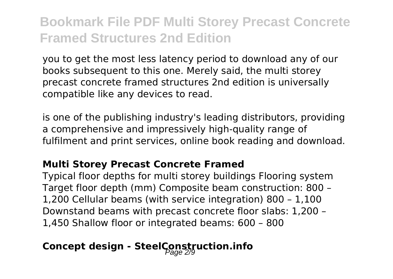you to get the most less latency period to download any of our books subsequent to this one. Merely said, the multi storey precast concrete framed structures 2nd edition is universally compatible like any devices to read.

is one of the publishing industry's leading distributors, providing a comprehensive and impressively high-quality range of fulfilment and print services, online book reading and download.

#### **Multi Storey Precast Concrete Framed**

Typical floor depths for multi storey buildings Flooring system Target floor depth (mm) Composite beam construction: 800 – 1,200 Cellular beams (with service integration) 800 – 1,100 Downstand beams with precast concrete floor slabs: 1,200 – 1,450 Shallow floor or integrated beams: 600 – 800

### **Concept design - SteelConstruction.info**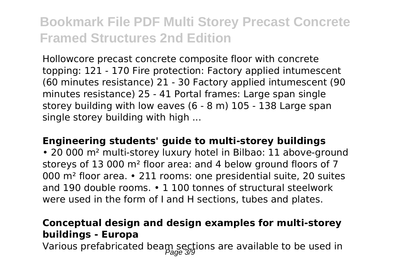Hollowcore precast concrete composite floor with concrete topping: 121 - 170 Fire protection: Factory applied intumescent (60 minutes resistance) 21 - 30 Factory applied intumescent (90 minutes resistance) 25 - 41 Portal frames: Large span single storey building with low eaves (6 - 8 m) 105 - 138 Large span single storey building with high ...

#### **Engineering students' guide to multi-storey buildings**

• 20 000 m² multi-storey luxury hotel in Bilbao: 11 above-ground storeys of 13 000 m² floor area: and 4 below ground floors of 7 000 m² floor area. • 211 rooms: one presidential suite, 20 suites and 190 double rooms. • 1 100 tonnes of structural steelwork were used in the form of I and H sections, tubes and plates.

#### **Conceptual design and design examples for multi-storey buildings - Europa**

Various prefabricated beam sections are available to be used in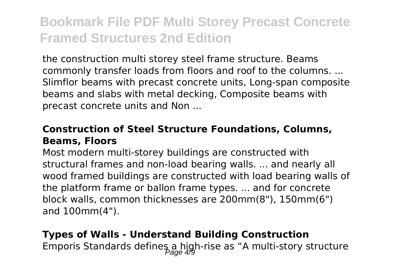the construction multi storey steel frame structure. Beams commonly transfer loads from floors and roof to the columns. ... Slimflor beams with precast concrete units, Long-span composite beams and slabs with metal decking, Composite beams with precast concrete units and Non ...

#### **Construction of Steel Structure Foundations, Columns, Beams, Floors**

Most modern multi-storey buildings are constructed with structural frames and non-load bearing walls. ... and nearly all wood framed buildings are constructed with load bearing walls of the platform frame or ballon frame types. ... and for concrete block walls, common thicknesses are 200mm(8"), 150mm(6") and 100mm(4").

### **Types of Walls - Understand Building Construction**

Emporis Standards defines a high-rise as "A multi-story structure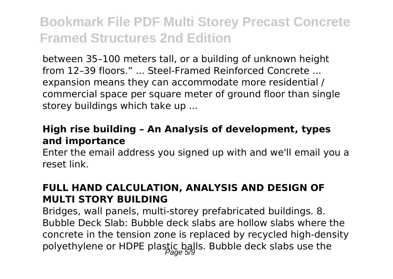between 35–100 meters tall, or a building of unknown height from 12–39 floors." ... Steel-Framed Reinforced Concrete ... expansion means they can accommodate more residential / commercial space per square meter of ground floor than single storey buildings which take up ...

#### **High rise building – An Analysis of development, types and importance**

Enter the email address you signed up with and we'll email you a reset link.

### **FULL HAND CALCULATION, ANALYSIS AND DESIGN OF MULTI STORY BUILDING**

Bridges, wall panels, multi-storey prefabricated buildings. 8. Bubble Deck Slab: Bubble deck slabs are hollow slabs where the concrete in the tension zone is replaced by recycled high-density polyethylene or HDPE plastic balls. Bubble deck slabs use the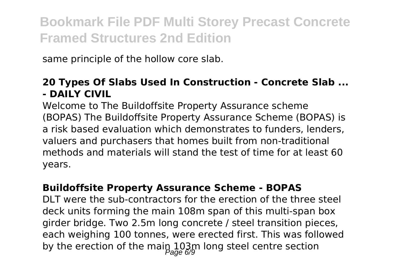same principle of the hollow core slab.

### **20 Types Of Slabs Used In Construction - Concrete Slab ... - DAILY CIVIL**

Welcome to The Buildoffsite Property Assurance scheme (BOPAS) The Buildoffsite Property Assurance Scheme (BOPAS) is a risk based evaluation which demonstrates to funders, lenders, valuers and purchasers that homes built from non-traditional methods and materials will stand the test of time for at least 60 years.

#### **Buildoffsite Property Assurance Scheme - BOPAS**

DLT were the sub-contractors for the erection of the three steel deck units forming the main 108m span of this multi-span box girder bridge. Two 2.5m long concrete / steel transition pieces, each weighing 100 tonnes, were erected first. This was followed by the erection of the main  $103m$  long steel centre section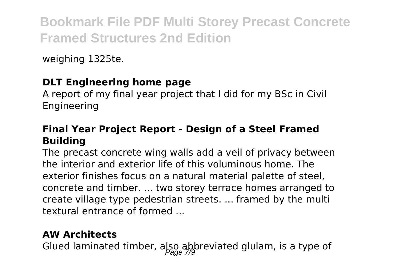weighing 1325te.

### **DLT Engineering home page**

A report of my final year project that I did for my BSc in Civil **Engineering** 

### **Final Year Project Report - Design of a Steel Framed Building**

The precast concrete wing walls add a veil of privacy between the interior and exterior life of this voluminous home. The exterior finishes focus on a natural material palette of steel, concrete and timber. ... two storey terrace homes arranged to create village type pedestrian streets. ... framed by the multi textural entrance of formed

### **AW Architects**

Glued laminated timber, also abbreviated glulam, is a type of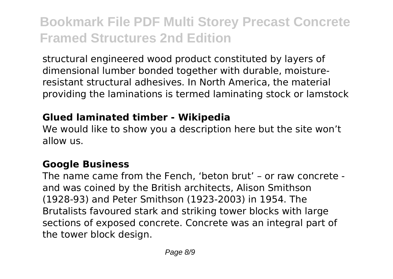structural engineered wood product constituted by layers of dimensional lumber bonded together with durable, moistureresistant structural adhesives. In North America, the material providing the laminations is termed laminating stock or lamstock

### **Glued laminated timber - Wikipedia**

We would like to show you a description here but the site won't allow us.

### **Google Business**

The name came from the Fench, 'beton brut' – or raw concrete and was coined by the British architects, Alison Smithson (1928-93) and Peter Smithson (1923-2003) in 1954. The Brutalists favoured stark and striking tower blocks with large sections of exposed concrete. Concrete was an integral part of the tower block design.